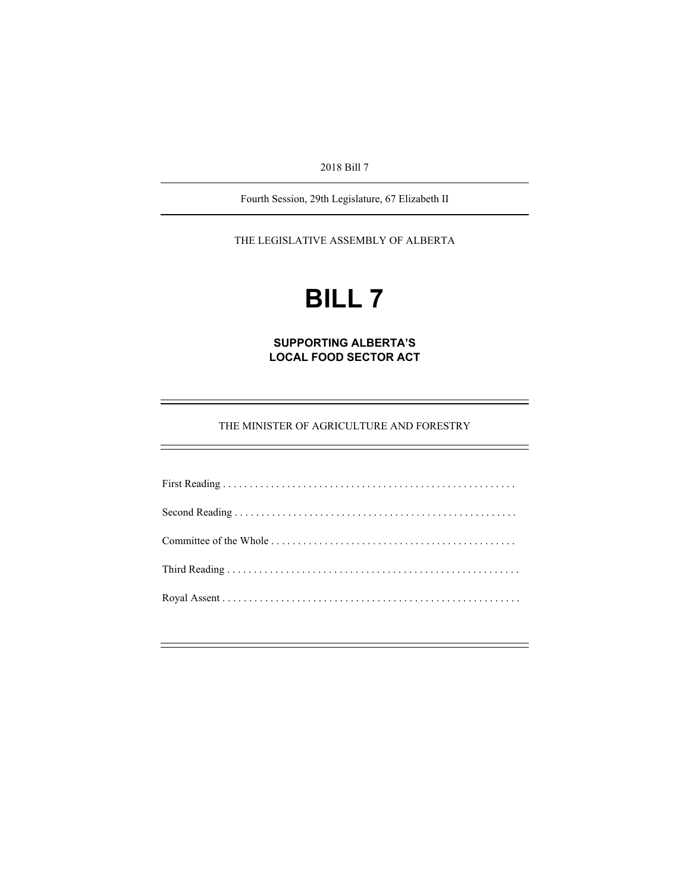2018 Bill 7

Fourth Session, 29th Legislature, 67 Elizabeth II

THE LEGISLATIVE ASSEMBLY OF ALBERTA

# **BILL 7**

**SUPPORTING ALBERTA'S LOCAL FOOD SECTOR ACT** 

THE MINISTER OF AGRICULTURE AND FORESTRY

First Reading . . . . . . . . . . . . . . . . . . . . . . . . . . . . . . . . . . . . . . . . . . . . . . . . . . . . . . . Second Reading . . . . . . . . . . . . . . . . . . . . . . . . . . . . . . . . . . . . . . . . . . . . . . . . . . . . . Committee of the Whole . . . . . . . . . . . . . . . . . . . . . . . . . . . . . . . . . . . . . . . . . . . . . . Third Reading . . . . . . . . . . . . . . . . . . . . . . . . . . . . . . . . . . . . . . . . . . . . . . . . . . . . . . . Royal Assent . . . . . . . . . . . . . . . . . . . . . . . . . . . . . . . . . . . . . . . . . . . . . . . . . . . . . . . .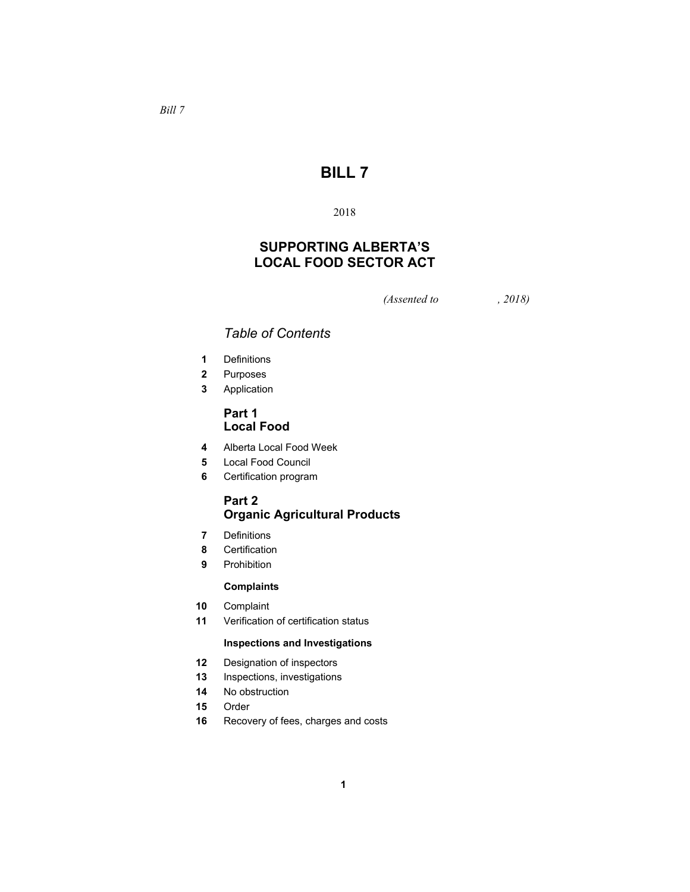## **BILL 7**

#### 2018

## **SUPPORTING ALBERTA'S LOCAL FOOD SECTOR ACT**

*(Assented to , 2018)* 

## *Table of Contents*

- **1** Definitions
- **2** Purposes
- **3** Application

## **Part 1 Local Food**

- **4** Alberta Local Food Week
- **5** Local Food Council
- **6** Certification program

## **Part 2 Organic Agricultural Products**

- **7** Definitions
- **8** Certification
- **9** Prohibition

#### **Complaints**

- **10** Complaint
- **11** Verification of certification status

#### **Inspections and Investigations**

- **12** Designation of inspectors
- **13** Inspections, investigations
- **14** No obstruction
- **15** Order
- **16** Recovery of fees, charges and costs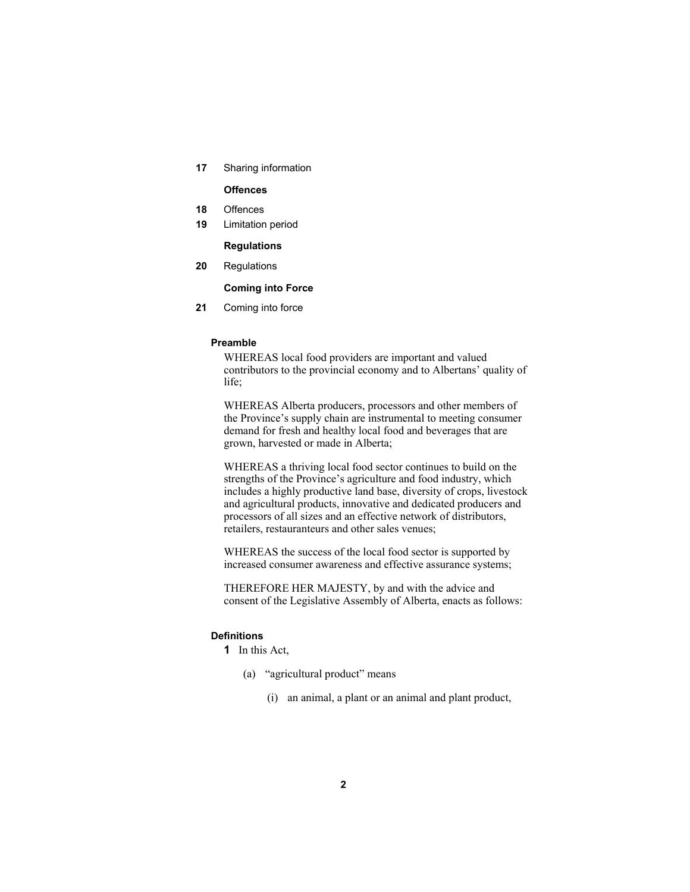**17** Sharing information

#### **Offences**

- **18** Offences
- **19** Limitation period

#### **Regulations**

**20** Regulations

#### **Coming into Force**

**21** Coming into force

#### **Preamble**

WHEREAS local food providers are important and valued contributors to the provincial economy and to Albertans' quality of life;

WHEREAS Alberta producers, processors and other members of the Province's supply chain are instrumental to meeting consumer demand for fresh and healthy local food and beverages that are grown, harvested or made in Alberta;

WHEREAS a thriving local food sector continues to build on the strengths of the Province's agriculture and food industry, which includes a highly productive land base, diversity of crops, livestock and agricultural products, innovative and dedicated producers and processors of all sizes and an effective network of distributors, retailers, restauranteurs and other sales venues;

WHEREAS the success of the local food sector is supported by increased consumer awareness and effective assurance systems;

THEREFORE HER MAJESTY, by and with the advice and consent of the Legislative Assembly of Alberta, enacts as follows:

#### **Definitions**

**1** In this Act,

- (a) "agricultural product" means
	- (i) an animal, a plant or an animal and plant product,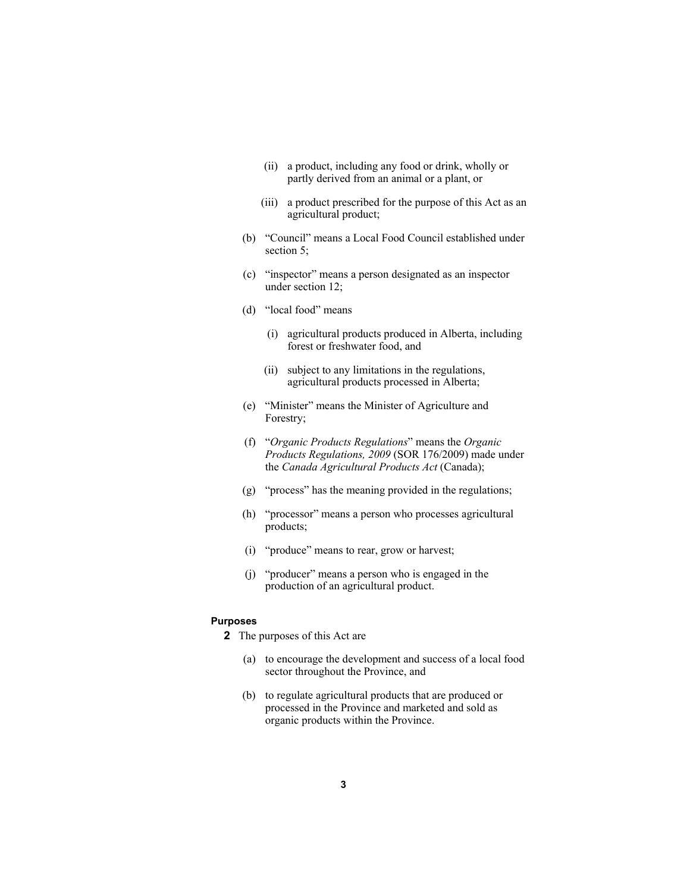- (ii) a product, including any food or drink, wholly or partly derived from an animal or a plant, or
- (iii) a product prescribed for the purpose of this Act as an agricultural product;
- (b) "Council" means a Local Food Council established under section 5;
- (c) "inspector" means a person designated as an inspector under section 12;
- (d) "local food" means
	- (i) agricultural products produced in Alberta, including forest or freshwater food, and
	- (ii) subject to any limitations in the regulations, agricultural products processed in Alberta;
- (e) "Minister" means the Minister of Agriculture and Forestry;
- (f) "*Organic Products Regulations*" means the *Organic Products Regulations, 2009* (SOR 176/2009) made under the *Canada Agricultural Products Act* (Canada);
- (g) "process" has the meaning provided in the regulations;
- (h) "processor" means a person who processes agricultural products;
- (i) "produce" means to rear, grow or harvest;
- (j) "producer" means a person who is engaged in the production of an agricultural product.

#### **Purposes**

- **2** The purposes of this Act are
	- (a) to encourage the development and success of a local food sector throughout the Province, and
	- (b) to regulate agricultural products that are produced or processed in the Province and marketed and sold as organic products within the Province.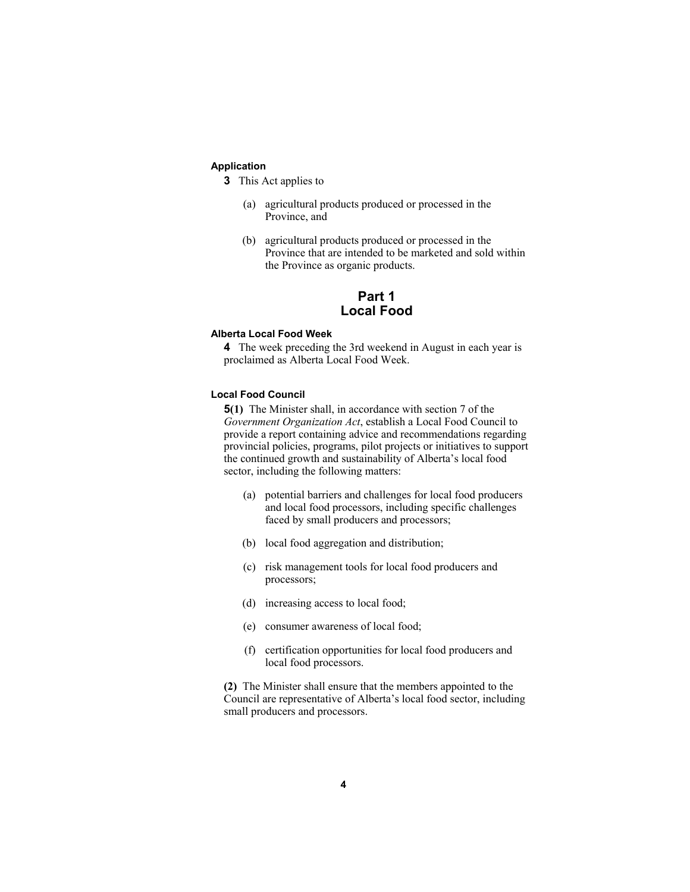#### **Application**

**3** This Act applies to

- (a) agricultural products produced or processed in the Province, and
- (b) agricultural products produced or processed in the Province that are intended to be marketed and sold within the Province as organic products.

### **Part 1 Local Food**

#### **Alberta Local Food Week**

**4** The week preceding the 3rd weekend in August in each year is proclaimed as Alberta Local Food Week.

#### **Local Food Council**

**5(1)** The Minister shall, in accordance with section 7 of the *Government Organization Act*, establish a Local Food Council to provide a report containing advice and recommendations regarding provincial policies, programs, pilot projects or initiatives to support the continued growth and sustainability of Alberta's local food sector, including the following matters:

- (a) potential barriers and challenges for local food producers and local food processors, including specific challenges faced by small producers and processors;
- (b) local food aggregation and distribution;
- (c) risk management tools for local food producers and processors;
- (d) increasing access to local food;
- (e) consumer awareness of local food;
- (f) certification opportunities for local food producers and local food processors.

**(2)** The Minister shall ensure that the members appointed to the Council are representative of Alberta's local food sector, including small producers and processors.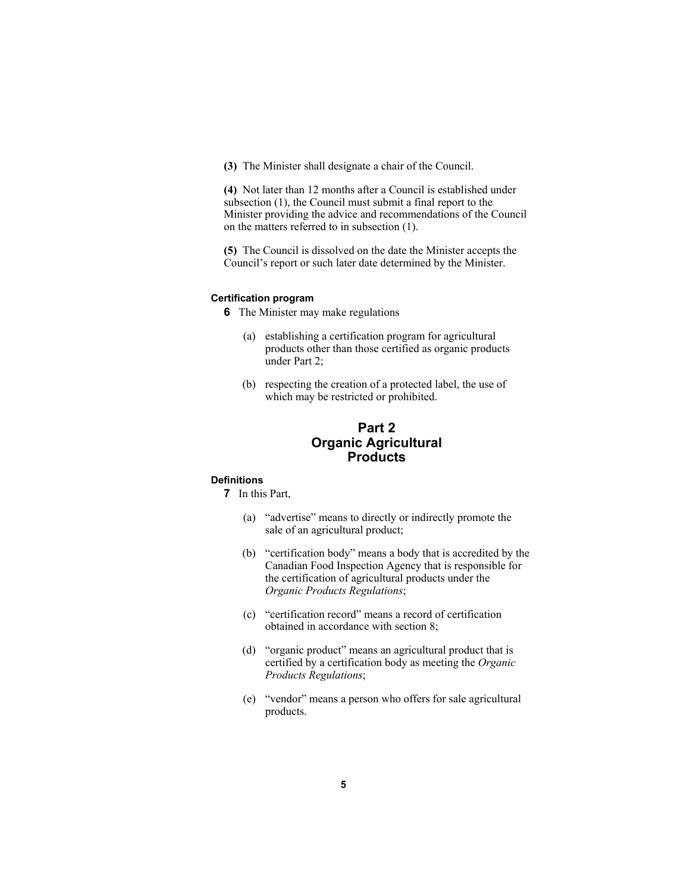**(3)** The Minister shall designate a chair of the Council.

**(4)** Not later than 12 months after a Council is established under subsection (1), the Council must submit a final report to the Minister providing the advice and recommendations of the Council on the matters referred to in subsection (1).

**(5)** The Council is dissolved on the date the Minister accepts the Council's report or such later date determined by the Minister.

#### **Certification program**

- **6** The Minister may make regulations
	- (a) establishing a certification program for agricultural products other than those certified as organic products under Part 2;
	- (b) respecting the creation of a protected label, the use of which may be restricted or prohibited.

## **Part 2 Organic Agricultural Products**

#### **Definitions**

- **7** In this Part,
	- (a) "advertise" means to directly or indirectly promote the sale of an agricultural product;
	- (b) "certification body" means a body that is accredited by the Canadian Food Inspection Agency that is responsible for the certification of agricultural products under the *Organic Products Regulations*;
	- (c) "certification record" means a record of certification obtained in accordance with section 8;
	- (d) "organic product" means an agricultural product that is certified by a certification body as meeting the *Organic Products Regulations*;
	- (e) "vendor" means a person who offers for sale agricultural products.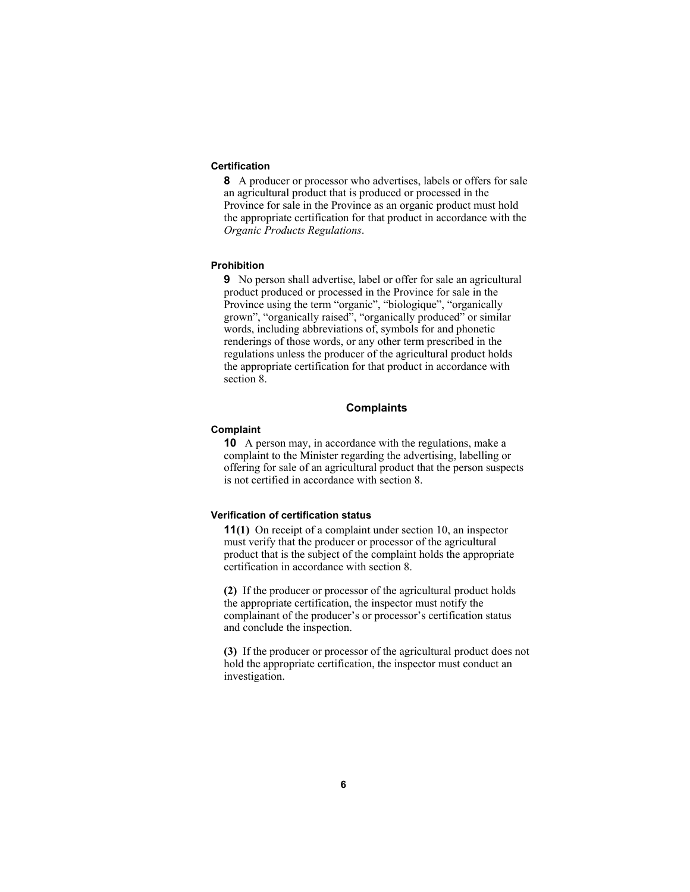#### **Certification**

**8** A producer or processor who advertises, labels or offers for sale an agricultural product that is produced or processed in the Province for sale in the Province as an organic product must hold the appropriate certification for that product in accordance with the *Organic Products Regulations*.

#### **Prohibition**

**9** No person shall advertise, label or offer for sale an agricultural product produced or processed in the Province for sale in the Province using the term "organic", "biologique", "organically grown", "organically raised", "organically produced" or similar words, including abbreviations of, symbols for and phonetic renderings of those words, or any other term prescribed in the regulations unless the producer of the agricultural product holds the appropriate certification for that product in accordance with section 8.

#### **Complaints**

#### **Complaint**

**10** A person may, in accordance with the regulations, make a complaint to the Minister regarding the advertising, labelling or offering for sale of an agricultural product that the person suspects is not certified in accordance with section 8.

#### **Verification of certification status**

**11(1)** On receipt of a complaint under section 10, an inspector must verify that the producer or processor of the agricultural product that is the subject of the complaint holds the appropriate certification in accordance with section 8.

**(2)** If the producer or processor of the agricultural product holds the appropriate certification, the inspector must notify the complainant of the producer's or processor's certification status and conclude the inspection.

**(3)** If the producer or processor of the agricultural product does not hold the appropriate certification, the inspector must conduct an investigation.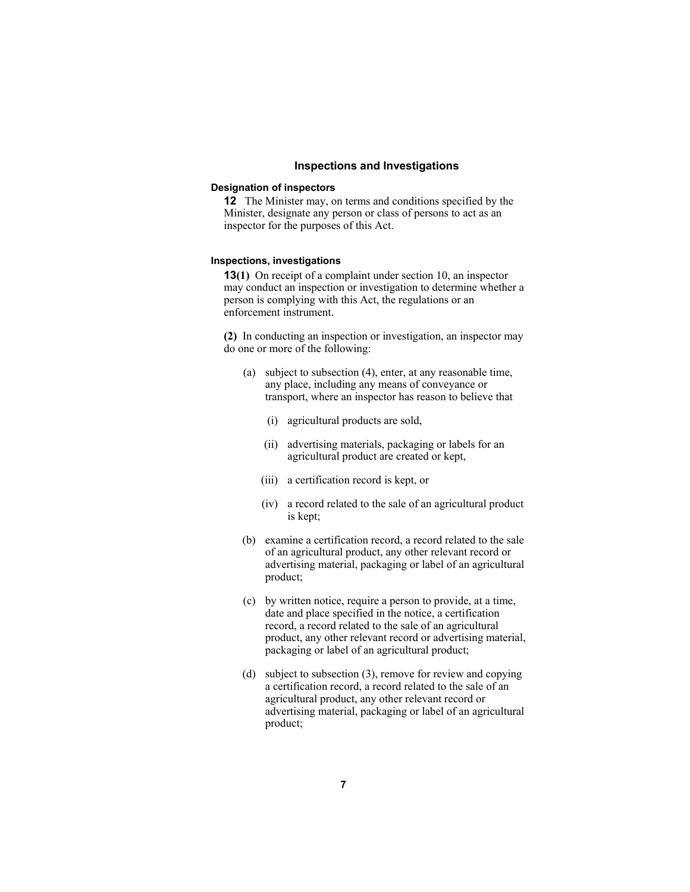#### **Inspections and Investigations**

#### **Designation of inspectors**

**12** The Minister may, on terms and conditions specified by the Minister, designate any person or class of persons to act as an inspector for the purposes of this Act.

#### **Inspections, investigations**

**13(1)** On receipt of a complaint under section 10, an inspector may conduct an inspection or investigation to determine whether a person is complying with this Act, the regulations or an enforcement instrument.

**(2)** In conducting an inspection or investigation, an inspector may do one or more of the following:

- (a) subject to subsection (4), enter, at any reasonable time, any place, including any means of conveyance or transport, where an inspector has reason to believe that
	- (i) agricultural products are sold,
	- (ii) advertising materials, packaging or labels for an agricultural product are created or kept,
	- (iii) a certification record is kept, or
	- (iv) a record related to the sale of an agricultural product is kept;
- (b) examine a certification record, a record related to the sale of an agricultural product, any other relevant record or advertising material, packaging or label of an agricultural product;
- (c) by written notice, require a person to provide, at a time, date and place specified in the notice, a certification record, a record related to the sale of an agricultural product, any other relevant record or advertising material, packaging or label of an agricultural product;
- (d) subject to subsection (3), remove for review and copying a certification record, a record related to the sale of an agricultural product, any other relevant record or advertising material, packaging or label of an agricultural product;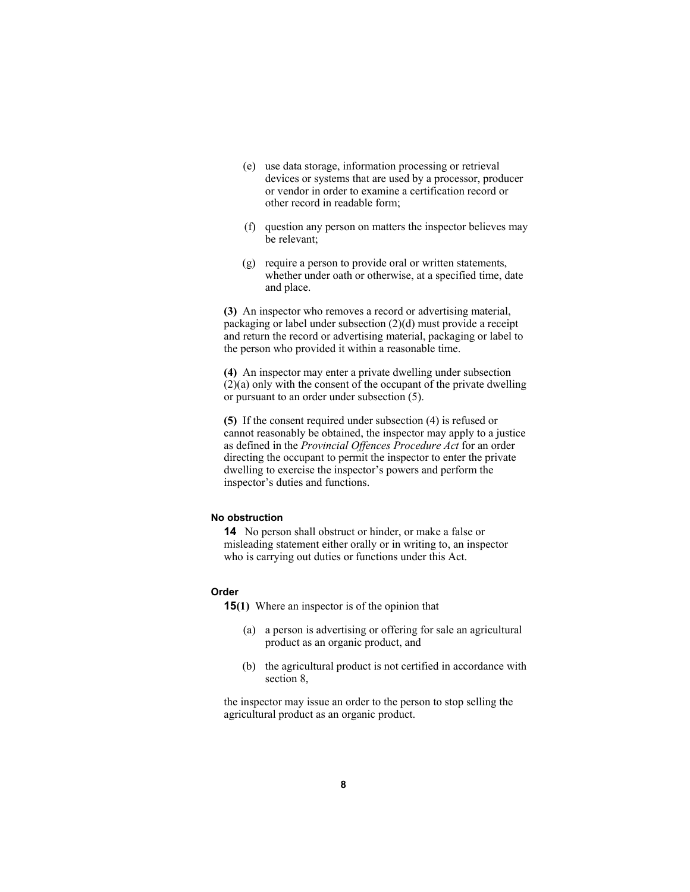- (e) use data storage, information processing or retrieval devices or systems that are used by a processor, producer or vendor in order to examine a certification record or other record in readable form;
- (f) question any person on matters the inspector believes may be relevant;
- (g) require a person to provide oral or written statements, whether under oath or otherwise, at a specified time, date and place.

**(3)** An inspector who removes a record or advertising material, packaging or label under subsection (2)(d) must provide a receipt and return the record or advertising material, packaging or label to the person who provided it within a reasonable time.

**(4)** An inspector may enter a private dwelling under subsection (2)(a) only with the consent of the occupant of the private dwelling or pursuant to an order under subsection (5).

**(5)** If the consent required under subsection (4) is refused or cannot reasonably be obtained, the inspector may apply to a justice as defined in the *Provincial Offences Procedure Act* for an order directing the occupant to permit the inspector to enter the private dwelling to exercise the inspector's powers and perform the inspector's duties and functions.

#### **No obstruction**

**14** No person shall obstruct or hinder, or make a false or misleading statement either orally or in writing to, an inspector who is carrying out duties or functions under this Act.

#### **Order**

**15(1)** Where an inspector is of the opinion that

- (a) a person is advertising or offering for sale an agricultural product as an organic product, and
- (b) the agricultural product is not certified in accordance with section 8,

the inspector may issue an order to the person to stop selling the agricultural product as an organic product.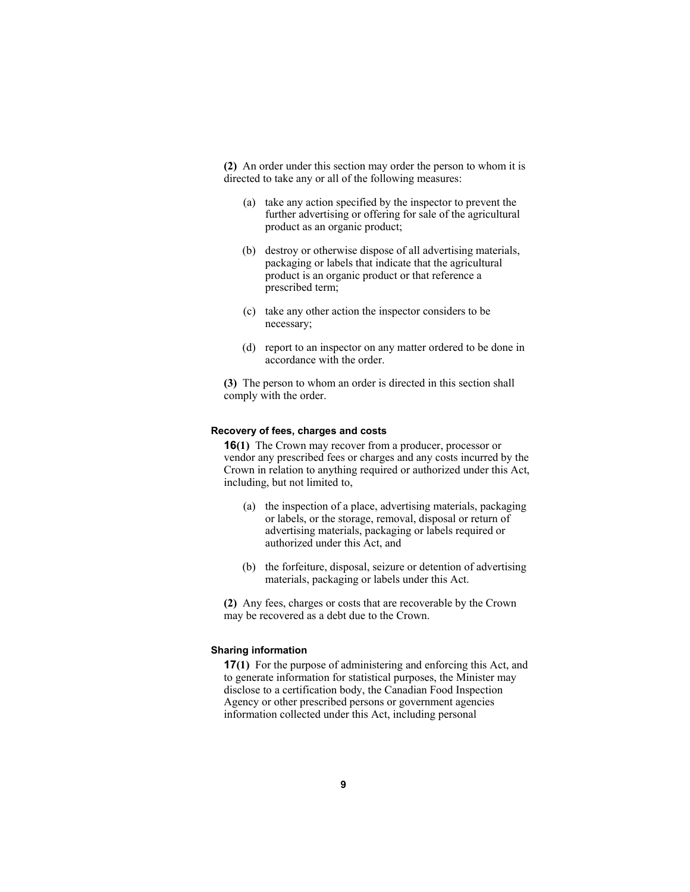**(2)** An order under this section may order the person to whom it is directed to take any or all of the following measures:

- (a) take any action specified by the inspector to prevent the further advertising or offering for sale of the agricultural product as an organic product;
- (b) destroy or otherwise dispose of all advertising materials, packaging or labels that indicate that the agricultural product is an organic product or that reference a prescribed term;
- (c) take any other action the inspector considers to be necessary;
- (d) report to an inspector on any matter ordered to be done in accordance with the order.

**(3)** The person to whom an order is directed in this section shall comply with the order.

#### **Recovery of fees, charges and costs**

**16(1)** The Crown may recover from a producer, processor or vendor any prescribed fees or charges and any costs incurred by the Crown in relation to anything required or authorized under this Act, including, but not limited to,

- (a) the inspection of a place, advertising materials, packaging or labels, or the storage, removal, disposal or return of advertising materials, packaging or labels required or authorized under this Act, and
- (b) the forfeiture, disposal, seizure or detention of advertising materials, packaging or labels under this Act.

**(2)** Any fees, charges or costs that are recoverable by the Crown may be recovered as a debt due to the Crown.

#### **Sharing information**

**17(1)** For the purpose of administering and enforcing this Act, and to generate information for statistical purposes, the Minister may disclose to a certification body, the Canadian Food Inspection Agency or other prescribed persons or government agencies information collected under this Act, including personal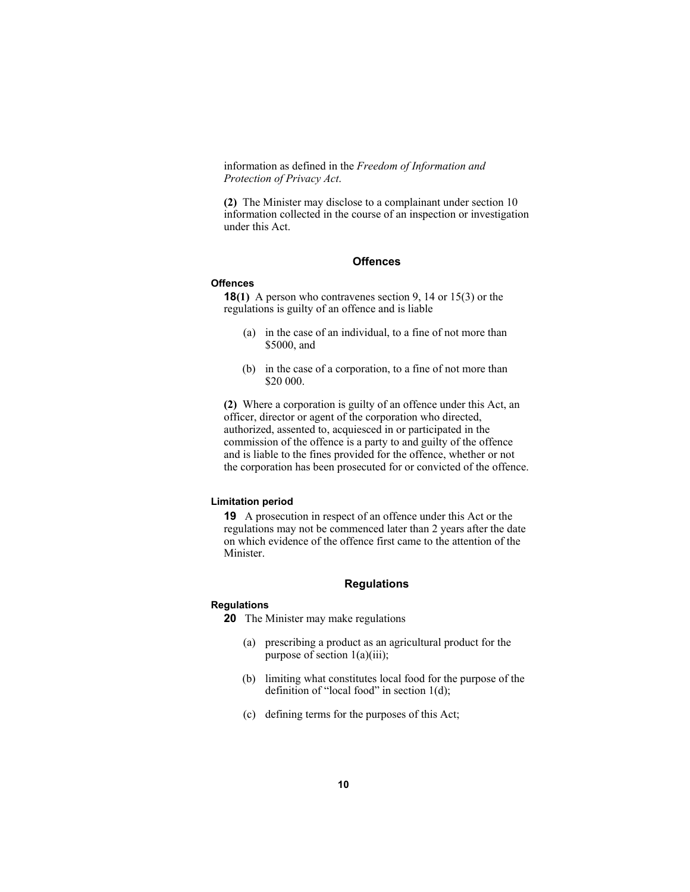information as defined in the *Freedom of Information and Protection of Privacy Act*.

**(2)** The Minister may disclose to a complainant under section 10 information collected in the course of an inspection or investigation under this Act.

#### **Offences**

#### **Offences**

**18(1)** A person who contravenes section 9, 14 or 15(3) or the regulations is guilty of an offence and is liable

- (a) in the case of an individual, to a fine of not more than \$5000, and
- (b) in the case of a corporation, to a fine of not more than \$20 000.

**(2)** Where a corporation is guilty of an offence under this Act, an officer, director or agent of the corporation who directed, authorized, assented to, acquiesced in or participated in the commission of the offence is a party to and guilty of the offence and is liable to the fines provided for the offence, whether or not the corporation has been prosecuted for or convicted of the offence.

#### **Limitation period**

**19** A prosecution in respect of an offence under this Act or the regulations may not be commenced later than 2 years after the date on which evidence of the offence first came to the attention of the Minister.

#### **Regulations**

#### **Regulations**

**20** The Minister may make regulations

- (a) prescribing a product as an agricultural product for the purpose of section 1(a)(iii);
- (b) limiting what constitutes local food for the purpose of the definition of "local food" in section 1(d);
- (c) defining terms for the purposes of this Act;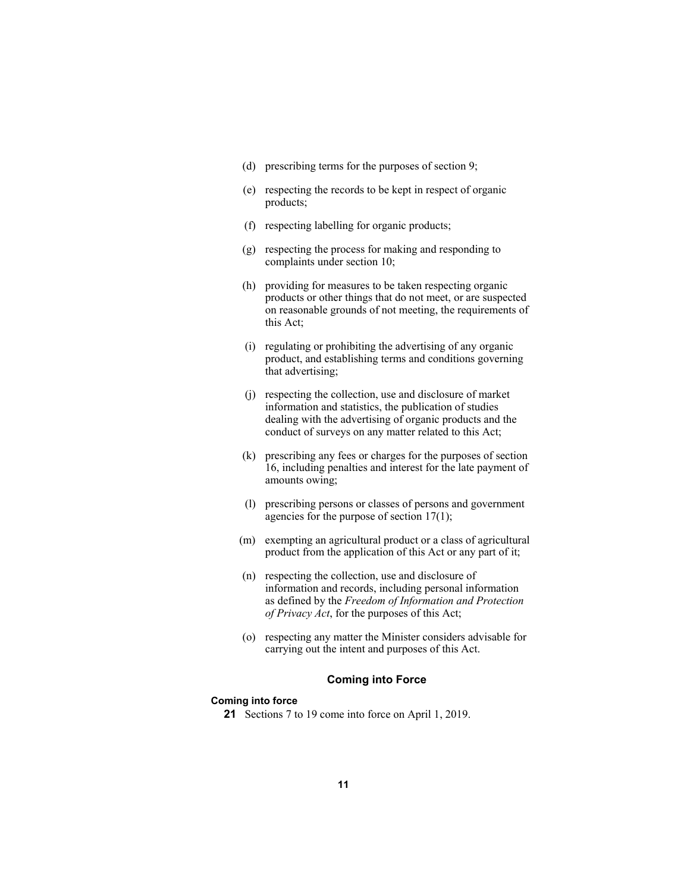- (d) prescribing terms for the purposes of section 9;
- (e) respecting the records to be kept in respect of organic products;
- (f) respecting labelling for organic products;
- (g) respecting the process for making and responding to complaints under section 10;
- (h) providing for measures to be taken respecting organic products or other things that do not meet, or are suspected on reasonable grounds of not meeting, the requirements of this Act;
- (i) regulating or prohibiting the advertising of any organic product, and establishing terms and conditions governing that advertising;
- (j) respecting the collection, use and disclosure of market information and statistics, the publication of studies dealing with the advertising of organic products and the conduct of surveys on any matter related to this Act;
- (k) prescribing any fees or charges for the purposes of section 16, including penalties and interest for the late payment of amounts owing;
- (l) prescribing persons or classes of persons and government agencies for the purpose of section 17(1);
- (m) exempting an agricultural product or a class of agricultural product from the application of this Act or any part of it;
- (n) respecting the collection, use and disclosure of information and records, including personal information as defined by the *Freedom of Information and Protection of Privacy Act*, for the purposes of this Act;
- (o) respecting any matter the Minister considers advisable for carrying out the intent and purposes of this Act.

#### **Coming into Force**

#### **Coming into force**

**21** Sections 7 to 19 come into force on April 1, 2019.